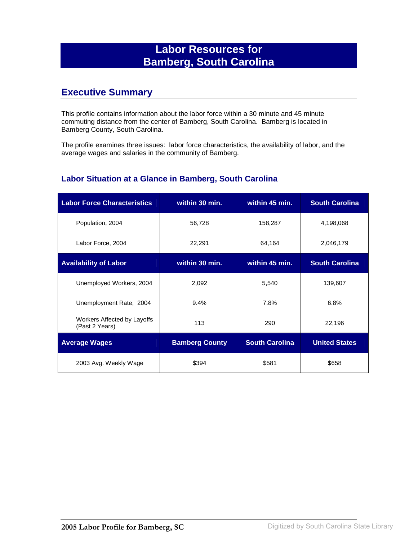## **Labor Resources for Bamberg, South Carolina**

### **Executive Summary**

This profile contains information about the labor force within a 30 minute and 45 minute commuting distance from the center of Bamberg, South Carolina. Bamberg is located in Bamberg County, South Carolina.

The profile examines three issues: labor force characteristics, the availability of labor, and the average wages and salaries in the community of Bamberg.

#### **Labor Situation at a Glance in Bamberg, South Carolina**

| <b>Labor Force Characteristics</b>            | within 30 min.        | within 45 min.        | <b>South Carolina</b> |
|-----------------------------------------------|-----------------------|-----------------------|-----------------------|
| Population, 2004                              | 56,728                | 158,287               | 4,198,068             |
| Labor Force, 2004                             | 22,291                | 64,164                | 2,046,179             |
| <b>Availability of Labor</b>                  | within 30 min.        | within 45 min.        | <b>South Carolina</b> |
| Unemployed Workers, 2004                      | 2,092                 | 5,540                 | 139,607               |
| Unemployment Rate, 2004                       | 9.4%                  | 7.8%                  | 6.8%                  |
| Workers Affected by Layoffs<br>(Past 2 Years) | 113                   | 290                   | 22,196                |
| <b>Average Wages</b>                          | <b>Bamberg County</b> | <b>South Carolina</b> | <b>United States</b>  |
| 2003 Avg. Weekly Wage                         | \$394                 | \$581                 | \$658                 |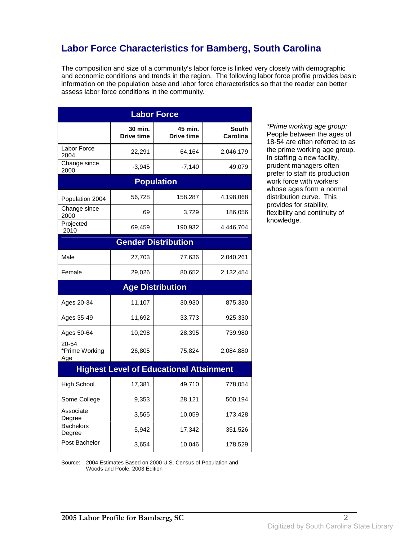## **Labor Force Characteristics for Bamberg, South Carolina**

The composition and size of a community's labor force is linked very closely with demographic and economic conditions and trends in the region. The following labor force profile provides basic information on the population base and labor force characteristics so that the reader can better assess labor force conditions in the community.

| <b>Labor Force</b>             |                              |                                                |                   |
|--------------------------------|------------------------------|------------------------------------------------|-------------------|
|                                | 30 min.<br><b>Drive time</b> | 45 min.<br><b>Drive time</b>                   | South<br>Carolina |
| Labor Force<br>2004            | 22,291                       | 64,164                                         | 2,046,179         |
| Change since<br>2000           | $-3,945$                     | $-7,140$                                       | 49,079            |
|                                |                              | <b>Population</b>                              |                   |
| Population 2004                | 56,728                       | 158,287                                        | 4,198,068         |
| Change since<br>2000           | 69                           | 3,729                                          | 186,056           |
| Projected<br>2010              | 69,459                       | 190,932                                        | 4,446,704         |
|                                |                              | <b>Gender Distribution</b>                     |                   |
| Male                           | 27,703                       | 77,636                                         | 2,040,261         |
| Female                         | 29,026                       | 80,652                                         | 2,132,454         |
|                                |                              | <b>Age Distribution</b>                        |                   |
| Ages 20-34                     | 11,107                       | 30,930                                         | 875,330           |
| Ages 35-49                     | 11,692                       | 33,773                                         | 925,330           |
| Ages 50-64                     | 10,298                       | 28,395                                         | 739,980           |
| 20-54<br>*Prime Working<br>Age | 26,805                       | 75,824                                         | 2,084,880         |
|                                |                              | <b>Highest Level of Educational Attainment</b> |                   |
| <b>High School</b>             | 17,381                       | 49,710                                         | 778,054           |
| Some College                   | 9,353                        | 28,121                                         | 500,194           |
| Associate<br>Degree            | 3,565                        | 10,059                                         | 173,428           |
| <b>Bachelors</b><br>Degree     | 5,942                        | 17,342                                         | 351,526           |
| Post Bachelor                  | 3,654                        | 10,046                                         | 178,529           |

\*Prime working age group: People between the ages of 18-54 are often referred to as the prime working age group. In staffing a new facility, prudent managers often prefer to staff its production work force with workers whose ages form a normal distribution curve. This provides for stability, flexibility and continuity of knowledge.

Source: 2004 Estimates Based on 2000 U.S. Census of Population and Woods and Poole, 2003 Edition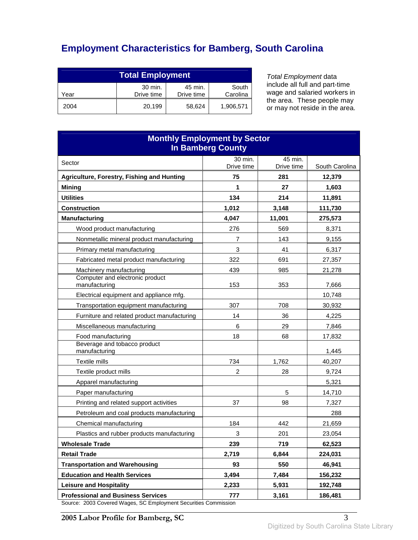# **Employment Characteristics for Bamberg, South Carolina**

| <b>Total Employment</b>                                                     |        |        |           |
|-----------------------------------------------------------------------------|--------|--------|-----------|
| 30 min.<br>South<br>45 min.<br>Drive time<br>Carolina<br>Drive time<br>Year |        |        |           |
| 2004                                                                        | 20.199 | 58,624 | 1,906,571 |

Total Employment data include all full and part-time wage and salaried workers in the area. These people may or may not reside in the area.

| <b>Monthly Employment by Sector</b><br><b>In Bamberg County</b>                                      |                |            |                 |
|------------------------------------------------------------------------------------------------------|----------------|------------|-----------------|
| Sector                                                                                               | 30 min.        | 45 min.    |                 |
|                                                                                                      | Drive time     | Drive time | South Carolina  |
| Agriculture, Forestry, Fishing and Hunting                                                           | 75             | 281<br>27  | 12,379          |
| <b>Mining</b><br><b>Utilities</b>                                                                    | 1<br>134       | 214        | 1,603<br>11,891 |
| <b>Construction</b>                                                                                  | 1,012          | 3,148      | 111,730         |
| <b>Manufacturing</b>                                                                                 | 4,047          | 11,001     | 275,573         |
| Wood product manufacturing                                                                           | 276            | 569        | 8,371           |
| Nonmetallic mineral product manufacturing                                                            | 7              | 143        | 9,155           |
| Primary metal manufacturing                                                                          | 3              | 41         | 6,317           |
| Fabricated metal product manufacturing                                                               | 322            | 691        | 27,357          |
| Machinery manufacturing                                                                              | 439            | 985        | 21,278          |
| Computer and electronic product<br>manufacturing                                                     | 153            | 353        | 7,666           |
| Electrical equipment and appliance mfg.                                                              |                |            | 10.748          |
| Transportation equipment manufacturing                                                               | 307            | 708        | 30,932          |
| Furniture and related product manufacturing                                                          | 14             | 36         | 4,225           |
| Miscellaneous manufacturing                                                                          | 6              | 29         | 7,846           |
| Food manufacturing                                                                                   | 18             | 68         | 17,832          |
| Beverage and tobacco product<br>manufacturing                                                        |                |            | 1,445           |
| Textile mills                                                                                        | 734            | 1,762      | 40,207          |
| Textile product mills                                                                                | $\overline{c}$ | 28         | 9,724           |
| Apparel manufacturing                                                                                |                |            | 5,321           |
| Paper manufacturing                                                                                  |                | 5          | 14,710          |
| Printing and related support activities                                                              | 37             | 98         | 7,327           |
| Petroleum and coal products manufacturing                                                            |                |            | 288             |
| Chemical manufacturing                                                                               | 184            | 442        | 21,659          |
| Plastics and rubber products manufacturing                                                           | 3              | 201        | 23,054          |
| <b>Wholesale Trade</b>                                                                               | 239            | 719        | 62,523          |
| <b>Retail Trade</b>                                                                                  | 2,719          | 6,844      | 224,031         |
| <b>Transportation and Warehousing</b>                                                                | 93             | 550        | 46,941          |
| <b>Education and Health Services</b>                                                                 | 3,494          | 7,484      | 156,232         |
| <b>Leisure and Hospitality</b>                                                                       | 2,233          | 5,931      | 192,748         |
| <b>Professional and Business Services</b><br>2003 Covered Wages, SC Employment Securities Commission | 777            | 3,161      | 186,481         |

Source: 2003 Covered Wages, SC Employment Securities Commission

**2005 Labor Profile for Bamberg, SC** 3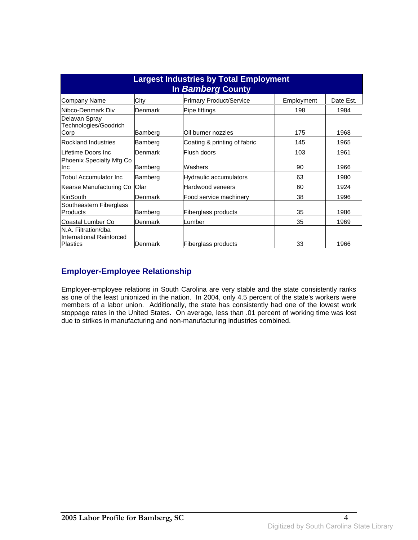| <b>Largest Industries by Total Employment</b><br>In Bamberg County |         |                                |            |           |
|--------------------------------------------------------------------|---------|--------------------------------|------------|-----------|
| Company Name                                                       | City    | <b>Primary Product/Service</b> | Employment | Date Est. |
| Nibco-Denmark Div                                                  | Denmark | Pipe fittings                  | 198        | 1984      |
| Delavan Spray<br>Technologies/Goodrich<br>Corp                     | Bamberg | Oil burner nozzles             | 175        | 1968      |
| <b>Rockland Industries</b>                                         | Bamberg | Coating & printing of fabric   | 145        | 1965      |
| Lifetime Doors Inc                                                 | Denmark | Flush doors                    | 103        | 1961      |
| Phoenix Specialty Mfg Co<br>Inc                                    | Bamberg | Washers                        | 90         | 1966      |
| <b>Tobul Accumulator Inc</b>                                       | Bamberg | Hydraulic accumulators         | 63         | 1980      |
| Kearse Manufacturing Co                                            | Olar    | Hardwood veneers               | 60         | 1924      |
| KinSouth                                                           | Denmark | Food service machinery         | 38         | 1996      |
| Southeastern Fiberglass<br>Products                                | Bamberg | Fiberglass products            | 35         | 1986      |
| Coastal Lumber Co                                                  | Denmark | Lumber                         | 35         | 1969      |
| N.A. Filtration/dba<br>International Reinforced<br>Plastics        | Denmark | Fiberglass products            | 33         | 1966      |

### **Employer-Employee Relationship**

Employer-employee relations in South Carolina are very stable and the state consistently ranks as one of the least unionized in the nation. In 2004, only 4.5 percent of the state's workers were members of a labor union. Additionally, the state has consistently had one of the lowest work stoppage rates in the United States. On average, less than .01 percent of working time was lost due to strikes in manufacturing and non-manufacturing industries combined.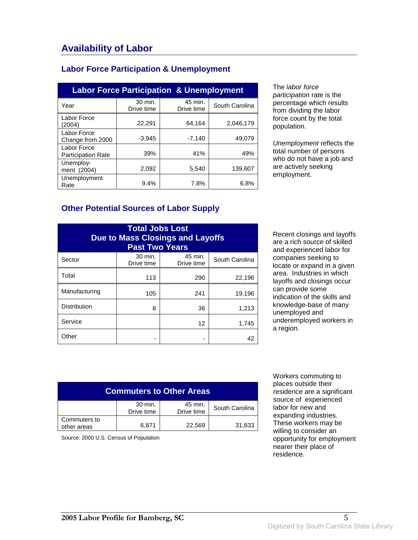### **Labor Force Participation & Unemployment**

| <b>Labor Force Participation &amp; Unemployment</b> |                       |                       |                |  |
|-----------------------------------------------------|-----------------------|-----------------------|----------------|--|
| Year                                                | 30 min.<br>Drive time | 45 min.<br>Drive time | South Carolina |  |
| Labor Force<br>(2004)                               | 22,291                | 64,164                | 2,046,179      |  |
| Labor Force<br>Change from 2000                     | $-3,945$              | $-7,140$              | 49,079         |  |
| Labor Force<br><b>Participation Rate</b>            | 39%                   | 41%                   | 49%            |  |
| Unemploy-<br>ment (2004)                            | 2,092                 | 5,540                 | 139.607        |  |
| Unemployment<br>Rate                                | $9.4\%$               | 7.8%                  | 6.8%           |  |

The labor force participation rate is the percentage which results from dividing the labor force count by the total population.

Unemployment reflects the total number of persons who do not have a job and are actively seeking employment.

#### **Other Potential Sources of Labor Supply**

| <b>Total Jobs Lost</b><br><b>Due to Mass Closings and Layoffs</b><br><b>Past Two Years</b> |                       |                       |                |
|--------------------------------------------------------------------------------------------|-----------------------|-----------------------|----------------|
| Sector                                                                                     | 30 min.<br>Drive time | 45 min.<br>Drive time | South Carolina |
| Total                                                                                      | 113                   | 290                   | 22,196         |
| Manufacturing                                                                              | 105                   | 241                   | 19,196         |
| <b>Distribution</b>                                                                        | 8                     | 36                    | 1,213          |
| Service                                                                                    |                       | 12                    | 1,745          |
| Other                                                                                      |                       |                       | 42             |

Recent closings and layoffs are a rich source of skilled and experienced labor for companies seeking to locate or expand in a given area. Industries in which layoffs and closings occur can provide some indication of the skills and knowledge-base of many unemployed and underemployed workers in a region.

| <b>Commuters to Other Areas</b>                                  |       |        |        |  |
|------------------------------------------------------------------|-------|--------|--------|--|
| 30 min.<br>45 min.<br>South Carolina<br>Drive time<br>Drive time |       |        |        |  |
| Commuters to<br>other areas                                      | 6.871 | 22,569 | 31,833 |  |

Source: 2000 U.S. Census of Population

 Workers commuting to places outside their residence are a significant source of experienced labor for new and expanding industries. These workers may be willing to consider an opportunity for employment nearer their place of residence.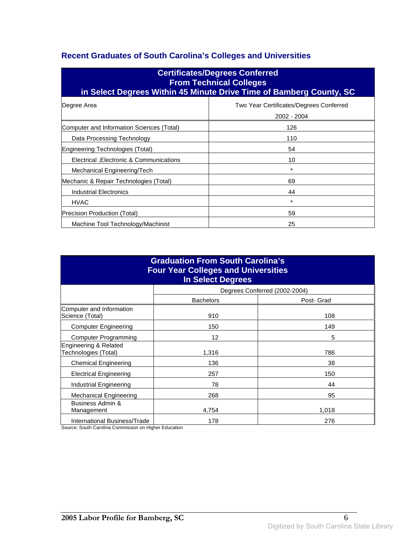# **Recent Graduates of South Carolina's Colleges and Universities**

| <b>Certificates/Degrees Conferred</b><br><b>From Technical Colleges</b><br>in Select Degrees Within 45 Minute Drive Time of Bamberg County, SC |                                                        |  |  |
|------------------------------------------------------------------------------------------------------------------------------------------------|--------------------------------------------------------|--|--|
| Degree Area                                                                                                                                    | Two Year Certificates/Degrees Conferred<br>2002 - 2004 |  |  |
| Computer and Information Sciences (Total)                                                                                                      | 126                                                    |  |  |
| Data Processing Technology                                                                                                                     | 110                                                    |  |  |
| Engineering Technologies (Total)                                                                                                               | 54                                                     |  |  |
| Electrical , Electronic & Communications                                                                                                       | 10                                                     |  |  |
| Mechanical Engineering/Tech                                                                                                                    | $\star$                                                |  |  |
| Mechanic & Repair Technologies (Total)                                                                                                         | 69                                                     |  |  |
| Industrial Electronics                                                                                                                         | 44                                                     |  |  |
| <b>HVAC</b>                                                                                                                                    | *                                                      |  |  |
| Precision Production (Total)                                                                                                                   | 59                                                     |  |  |
| 25<br>Machine Tool Technology/Machinist                                                                                                        |                                                        |  |  |

| <b>Graduation From South Carolina's</b><br><b>Four Year Colleges and Universities</b><br><b>In Select Degrees</b> |                  |                               |  |
|-------------------------------------------------------------------------------------------------------------------|------------------|-------------------------------|--|
|                                                                                                                   |                  | Degrees Conferred (2002-2004) |  |
|                                                                                                                   | <b>Bachelors</b> | Post- Grad                    |  |
| Computer and Information<br>Science (Total)                                                                       | 910              | 108                           |  |
| <b>Computer Engineering</b>                                                                                       | 150              | 149                           |  |
| <b>Computer Programming</b>                                                                                       | 12               | 5                             |  |
| Engineering & Related<br>Technologies (Total)                                                                     | 1,316            | 786                           |  |
| <b>Chemical Engineering</b>                                                                                       | 136              | 38                            |  |
| <b>Electrical Engineering</b>                                                                                     | 257              | 150                           |  |
| Industrial Engineering                                                                                            | 78               | 44                            |  |
| Mechanical Engineering                                                                                            | 268              | 95                            |  |
| Business Admin &<br>Management                                                                                    | 4,754            | 1,018                         |  |
| International Business/Trade                                                                                      | 178              | 276                           |  |

Source: South Carolina Commission on Higher Education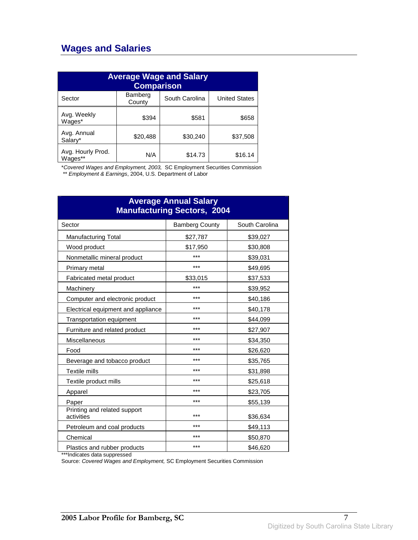### **Wages and Salaries**

| <b>Average Wage and Salary</b><br><b>Comparison</b> |                   |                |                      |
|-----------------------------------------------------|-------------------|----------------|----------------------|
| Sector                                              | Bamberg<br>County | South Carolina | <b>United States</b> |
| Avg. Weekly<br>Wages*                               | \$394             | \$581          | \$658                |
| Avg. Annual<br>Salary*                              | \$20,488          | \$30,240       | \$37,508             |
| Avg. Hourly Prod.<br>Wages**                        | N/A               | \$14.73        | \$16.14              |

\*Covered Wages and Employment, 2003, SC Employment Securities Commission

\*\* Employment & Earnings, 2004, U.S. Department of Labor

| <b>Average Annual Salary</b><br><b>Manufacturing Sectors, 2004</b> |                       |                |  |
|--------------------------------------------------------------------|-----------------------|----------------|--|
| Sector                                                             | <b>Bamberg County</b> | South Carolina |  |
| <b>Manufacturing Total</b>                                         | \$27,787              | \$39,027       |  |
| Wood product                                                       | \$17,950              | \$30,808       |  |
| Nonmetallic mineral product                                        | ***                   | \$39,031       |  |
| Primary metal                                                      | ***                   | \$49,695       |  |
| Fabricated metal product                                           | \$33,015              | \$37,533       |  |
| Machinery                                                          | ***                   | \$39,952       |  |
| Computer and electronic product                                    | ***                   | \$40,186       |  |
| Electrical equipment and appliance                                 | ***                   | \$40,178       |  |
| Transportation equipment                                           | ***                   | \$44,099       |  |
| Furniture and related product                                      | ***                   | \$27,907       |  |
| Miscellaneous                                                      | ***                   | \$34,350       |  |
| Food                                                               | ***                   | \$26,620       |  |
| Beverage and tobacco product                                       | ***                   | \$35,765       |  |
| <b>Textile mills</b>                                               | ***                   | \$31,898       |  |
| Textile product mills                                              | ***                   | \$25,618       |  |
| Apparel                                                            | ***                   | \$23,705       |  |
| Paper                                                              | ***                   | \$55,139       |  |
| Printing and related support<br>activities                         | ***                   | \$36,634       |  |
| Petroleum and coal products                                        | ***                   | \$49,113       |  |
| Chemical                                                           | ***                   | \$50,870       |  |
| Plastics and rubber products                                       | ***                   | \$46,620       |  |

\*\*\*Indicates data suppressed

Source: Covered Wages and Employment, SC Employment Securities Commission